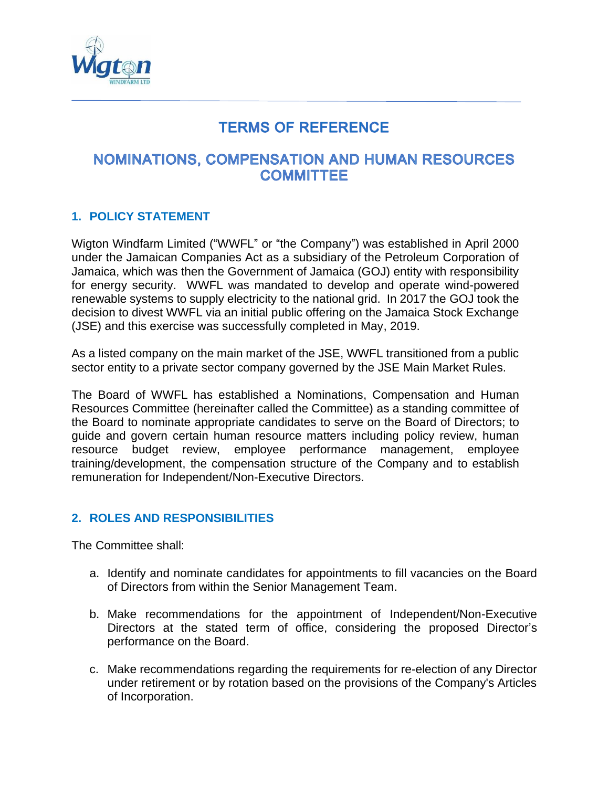

# **TERMS OF REFERENCE**

# **NOMINATIONS, COMPENSATION AND HUMAN RESOURCES COMMITTEE**

# **1. POLICY STATEMENT**

Wigton Windfarm Limited ("WWFL" or "the Company") was established in April 2000 under the Jamaican Companies Act as a subsidiary of the Petroleum Corporation of Jamaica, which was then the Government of Jamaica (GOJ) entity with responsibility for energy security. WWFL was mandated to develop and operate wind-powered renewable systems to supply electricity to the national grid. In 2017 the GOJ took the decision to divest WWFL via an initial public offering on the Jamaica Stock Exchange (JSE) and this exercise was successfully completed in May, 2019.

As a listed company on the main market of the JSE, WWFL transitioned from a public sector entity to a private sector company governed by the JSE Main Market Rules.

The Board of WWFL has established a Nominations, Compensation and Human Resources Committee (hereinafter called the Committee) as a standing committee of the Board to nominate appropriate candidates to serve on the Board of Directors; to guide and govern certain human resource matters including policy review, human resource budget review, employee performance management, employee training/development, the compensation structure of the Company and to establish remuneration for Independent/Non-Executive Directors.

# **2. ROLES AND RESPONSIBILITIES**

The Committee shall:

- a. Identify and nominate candidates for appointments to fill vacancies on the Board of Directors from within the Senior Management Team.
- b. Make recommendations for the appointment of Independent/Non-Executive Directors at the stated term of office, considering the proposed Director's performance on the Board.
- c. Make recommendations regarding the requirements for re-election of any Director under retirement or by rotation based on the provisions of the Company's Articles of Incorporation.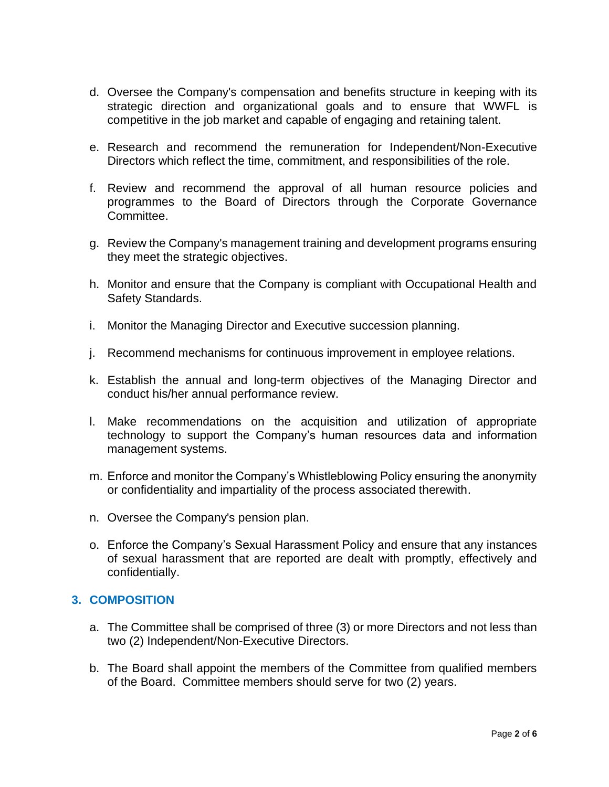- d. Oversee the Company's compensation and benefits structure in keeping with its strategic direction and organizational goals and to ensure that WWFL is competitive in the job market and capable of engaging and retaining talent.
- e. Research and recommend the remuneration for Independent/Non-Executive Directors which reflect the time, commitment, and responsibilities of the role.
- f. Review and recommend the approval of all human resource policies and programmes to the Board of Directors through the Corporate Governance Committee.
- g. Review the Company's management training and development programs ensuring they meet the strategic objectives.
- h. Monitor and ensure that the Company is compliant with Occupational Health and Safety Standards.
- i. Monitor the Managing Director and Executive succession planning.
- j. Recommend mechanisms for continuous improvement in employee relations.
- k. Establish the annual and long-term objectives of the Managing Director and conduct his/her annual performance review.
- l. Make recommendations on the acquisition and utilization of appropriate technology to support the Company's human resources data and information management systems.
- m. Enforce and monitor the Company's Whistleblowing Policy ensuring the anonymity or confidentiality and impartiality of the process associated therewith.
- n. Oversee the Company's pension plan.
- o. Enforce the Company's Sexual Harassment Policy and ensure that any instances of sexual harassment that are reported are dealt with promptly, effectively and confidentially.

# **3. COMPOSITION**

- a. The Committee shall be comprised of three (3) or more Directors and not less than two (2) Independent/Non-Executive Directors.
- b. The Board shall appoint the members of the Committee from qualified members of the Board. Committee members should serve for two (2) years.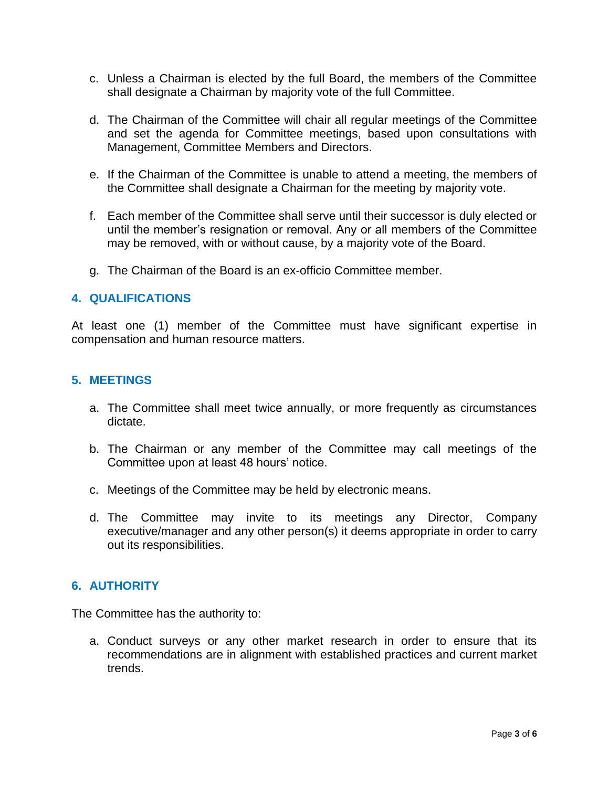- c. Unless a Chairman is elected by the full Board, the members of the Committee shall designate a Chairman by majority vote of the full Committee.
- d. The Chairman of the Committee will chair all regular meetings of the Committee and set the agenda for Committee meetings, based upon consultations with Management, Committee Members and Directors.
- e. If the Chairman of the Committee is unable to attend a meeting, the members of the Committee shall designate a Chairman for the meeting by majority vote.
- f. Each member of the Committee shall serve until their successor is duly elected or until the member's resignation or removal. Any or all members of the Committee may be removed, with or without cause, by a majority vote of the Board.
- g. The Chairman of the Board is an ex-officio Committee member.

## **4. QUALIFICATIONS**

At least one (1) member of the Committee must have significant expertise in compensation and human resource matters.

## **5. MEETINGS**

- a. The Committee shall meet twice annually, or more frequently as circumstances dictate.
- b. The Chairman or any member of the Committee may call meetings of the Committee upon at least 48 hours' notice.
- c. Meetings of the Committee may be held by electronic means.
- d. The Committee may invite to its meetings any Director, Company executive/manager and any other person(s) it deems appropriate in order to carry out its responsibilities.

# **6. AUTHORITY**

The Committee has the authority to:

a. Conduct surveys or any other market research in order to ensure that its recommendations are in alignment with established practices and current market trends.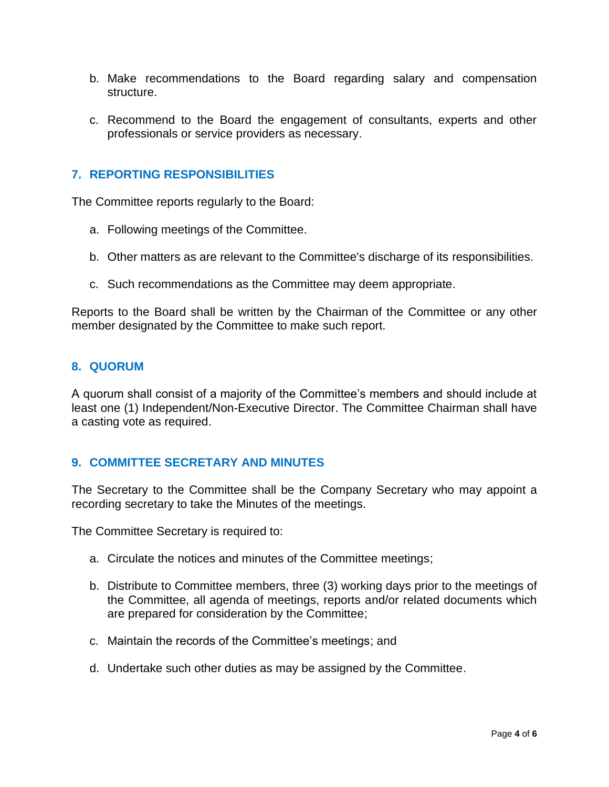- b. Make recommendations to the Board regarding salary and compensation structure.
- c. Recommend to the Board the engagement of consultants, experts and other professionals or service providers as necessary.

# **7. REPORTING RESPONSIBILITIES**

The Committee reports regularly to the Board:

- a. Following meetings of the Committee.
- b. Other matters as are relevant to the Committee's discharge of its responsibilities.
- c. Such recommendations as the Committee may deem appropriate.

Reports to the Board shall be written by the Chairman of the Committee or any other member designated by the Committee to make such report.

#### **8. QUORUM**

A quorum shall consist of a majority of the Committee's members and should include at least one (1) Independent/Non-Executive Director. The Committee Chairman shall have a casting vote as required.

#### **9. COMMITTEE SECRETARY AND MINUTES**

The Secretary to the Committee shall be the Company Secretary who may appoint a recording secretary to take the Minutes of the meetings.

The Committee Secretary is required to:

- a. Circulate the notices and minutes of the Committee meetings;
- b. Distribute to Committee members, three (3) working days prior to the meetings of the Committee, all agenda of meetings, reports and/or related documents which are prepared for consideration by the Committee;
- c. Maintain the records of the Committee's meetings; and
- d. Undertake such other duties as may be assigned by the Committee.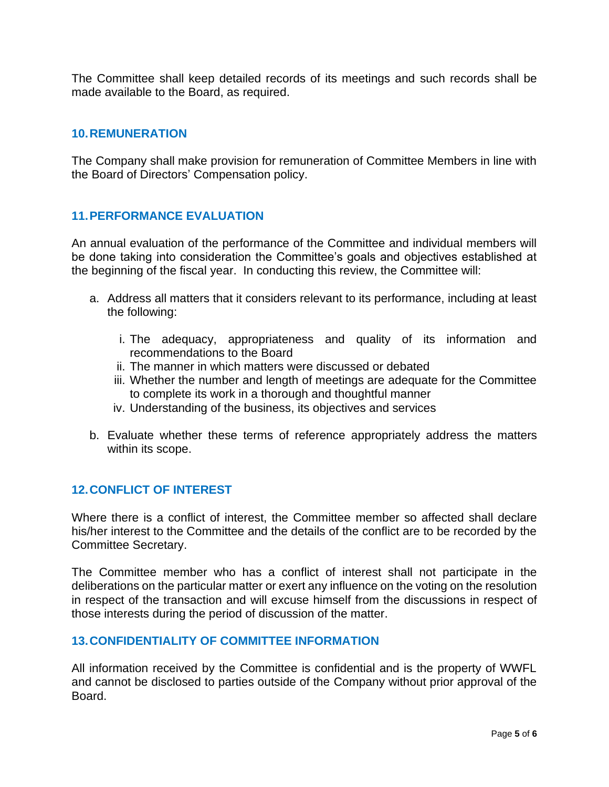The Committee shall keep detailed records of its meetings and such records shall be made available to the Board, as required.

# **10.REMUNERATION**

The Company shall make provision for remuneration of Committee Members in line with the Board of Directors' Compensation policy.

# **11.PERFORMANCE EVALUATION**

An annual evaluation of the performance of the Committee and individual members will be done taking into consideration the Committee's goals and objectives established at the beginning of the fiscal year. In conducting this review, the Committee will:

- a. Address all matters that it considers relevant to its performance, including at least the following:
	- i. The adequacy, appropriateness and quality of its information and recommendations to the Board
	- ii. The manner in which matters were discussed or debated
	- iii. Whether the number and length of meetings are adequate for the Committee to complete its work in a thorough and thoughtful manner
	- iv. Understanding of the business, its objectives and services
- b. Evaluate whether these terms of reference appropriately address the matters within its scope.

#### **12.CONFLICT OF INTEREST**

Where there is a conflict of interest, the Committee member so affected shall declare his/her interest to the Committee and the details of the conflict are to be recorded by the Committee Secretary.

The Committee member who has a conflict of interest shall not participate in the deliberations on the particular matter or exert any influence on the voting on the resolution in respect of the transaction and will excuse himself from the discussions in respect of those interests during the period of discussion of the matter.

# **13.CONFIDENTIALITY OF COMMITTEE INFORMATION**

All information received by the Committee is confidential and is the property of WWFL and cannot be disclosed to parties outside of the Company without prior approval of the Board.